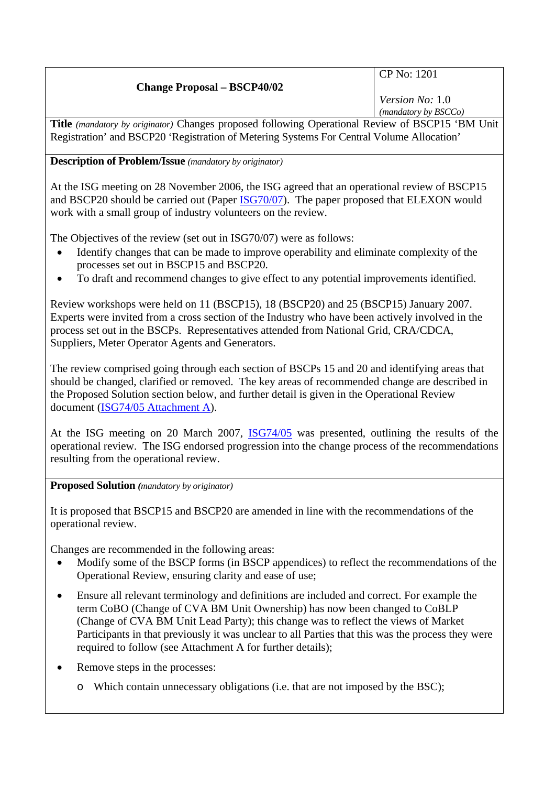| ___<br>---<br>.                    | __                     |
|------------------------------------|------------------------|
|                                    | (mandatory by BSCCo)   |
|                                    | <i>Version No:</i> 1.0 |
| <b>Change Proposal – BSCP40/02</b> |                        |
|                                    | CP No: 1201            |
|                                    |                        |

**Title** *(mandatory by originator)* Changes proposed following Operational Review of BSCP15 'BM Unit Registration' and BSCP20 'Registration of Metering Systems For Central Volume Allocation'

## **Description of Problem/Issue** *(mandatory by originator)*

At the ISG meeting on 28 November 2006, the ISG agreed that an operational review of BSCP15 and BSCP20 should be carried out (Paper [ISG70/07\)](http://www.elexon.co.uk/documents/BSC_Panel_and_Panel_Committees/ISG_Meeting_2006_-_070_-_Papers/ISG70_07.pdf). The paper proposed that ELEXON would work with a small group of industry volunteers on the review.

The Objectives of the review (set out in ISG70/07) were as follows:

- Identify changes that can be made to improve operability and eliminate complexity of the processes set out in BSCP15 and BSCP20.
- To draft and recommend changes to give effect to any potential improvements identified.

Review workshops were held on 11 (BSCP15), 18 (BSCP20) and 25 (BSCP15) January 2007. Experts were invited from a cross section of the Industry who have been actively involved in the process set out in the BSCPs. Representatives attended from National Grid, CRA/CDCA, Suppliers, Meter Operator Agents and Generators.

The review comprised going through each section of BSCPs 15 and 20 and identifying areas that should be changed, clarified or removed. The key areas of recommended change are described in the Proposed Solution section below, and further detail is given in the Operational Review document [\(ISG74/05 Attachment A\)](http://www.elexon.co.uk/documents/BSC_Panel_and_Panel_Committees/ISG_Meeting_2007_-_074_-_Papers/ISG74_05a_v1.0.pdf).

At the ISG meeting on 20 March 2007, [ISG74/05](http://www.elexon.co.uk/documents/BSC_Panel_and_Panel_Committees/ISG_Meeting_2007_-_074_-_Papers/ISG74_05_v1.0.pdf) was presented, outlining the results of the operational review. The ISG endorsed progression into the change process of the recommendations resulting from the operational review.

**Proposed Solution** *(mandatory by originator)* 

It is proposed that BSCP15 and BSCP20 are amended in line with the recommendations of the operational review.

Changes are recommended in the following areas:

- Modify some of the BSCP forms (in BSCP appendices) to reflect the recommendations of the Operational Review, ensuring clarity and ease of use;
- Ensure all relevant terminology and definitions are included and correct. For example the term CoBO (Change of CVA BM Unit Ownership) has now been changed to CoBLP (Change of CVA BM Unit Lead Party); this change was to reflect the views of Market Participants in that previously it was unclear to all Parties that this was the process they were required to follow (see Attachment A for further details);
- Remove steps in the processes:
	- o Which contain unnecessary obligations (i.e. that are not imposed by the BSC);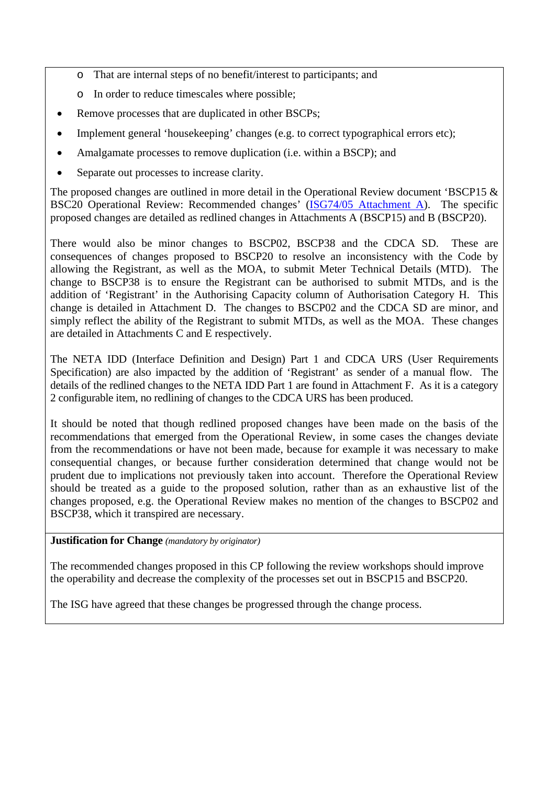- o That are internal steps of no benefit/interest to participants; and
- o In order to reduce timescales where possible;
- Remove processes that are duplicated in other BSCPs;
- Implement general 'housekeeping' changes (e.g. to correct typographical errors etc);
- Amalgamate processes to remove duplication (i.e. within a BSCP); and
- Separate out processes to increase clarity.

The proposed changes are outlined in more detail in the Operational Review document 'BSCP15 & BSC20 Operational Review: Recommended changes' [\(ISG74/05 Attachment A](http://www.elexon.co.uk/documents/BSC_Panel_and_Panel_Committees/ISG_Meeting_2007_-_074_-_Papers/ISG74_05a_v1.0.pdf)). The specific proposed changes are detailed as redlined changes in Attachments A (BSCP15) and B (BSCP20).

There would also be minor changes to BSCP02, BSCP38 and the CDCA SD. These are consequences of changes proposed to BSCP20 to resolve an inconsistency with the Code by allowing the Registrant, as well as the MOA, to submit Meter Technical Details (MTD). The change to BSCP38 is to ensure the Registrant can be authorised to submit MTDs, and is the addition of 'Registrant' in the Authorising Capacity column of Authorisation Category H. This change is detailed in Attachment D. The changes to BSCP02 and the CDCA SD are minor, and simply reflect the ability of the Registrant to submit MTDs, as well as the MOA. These changes are detailed in Attachments C and E respectively.

The NETA IDD (Interface Definition and Design) Part 1 and CDCA URS (User Requirements Specification) are also impacted by the addition of 'Registrant' as sender of a manual flow. The details of the redlined changes to the NETA IDD Part 1 are found in Attachment F. As it is a category 2 configurable item, no redlining of changes to the CDCA URS has been produced.

It should be noted that though redlined proposed changes have been made on the basis of the recommendations that emerged from the Operational Review, in some cases the changes deviate from the recommendations or have not been made, because for example it was necessary to make consequential changes, or because further consideration determined that change would not be prudent due to implications not previously taken into account. Therefore the Operational Review should be treated as a guide to the proposed solution, rather than as an exhaustive list of the changes proposed, e.g. the Operational Review makes no mention of the changes to BSCP02 and BSCP38, which it transpired are necessary.

## **Justification for Change** *(mandatory by originator)*

The recommended changes proposed in this CP following the review workshops should improve the operability and decrease the complexity of the processes set out in BSCP15 and BSCP20.

The ISG have agreed that these changes be progressed through the change process.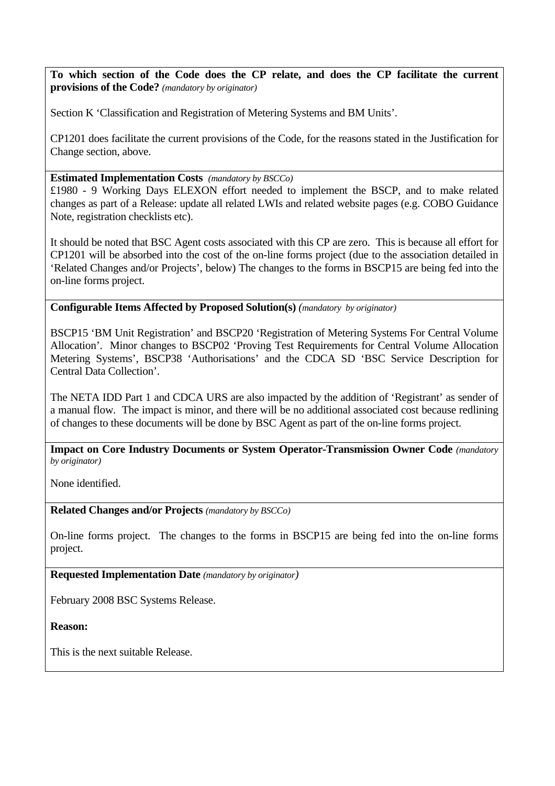**To which section of the Code does the CP relate, and does the CP facilitate the current provisions of the Code?** *(mandatory by originator)* 

Section K 'Classification and Registration of Metering Systems and BM Units'.

CP1201 does facilitate the current provisions of the Code, for the reasons stated in the Justification for Change section, above.

## **Estimated Implementation Costs** *(mandatory by BSCCo)*

£1980 - 9 Working Days ELEXON effort needed to implement the BSCP, and to make related changes as part of a Release: update all related LWIs and related website pages (e.g. COBO Guidance Note, registration checklists etc).

It should be noted that BSC Agent costs associated with this CP are zero. This is because all effort for CP1201 will be absorbed into the cost of the on-line forms project (due to the association detailed in 'Related Changes and/or Projects', below) The changes to the forms in BSCP15 are being fed into the on-line forms project.

**Configurable Items Affected by Proposed Solution(s)** *(mandatory by originator)* 

BSCP15 'BM Unit Registration' and BSCP20 'Registration of Metering Systems For Central Volume Allocation'. Minor changes to BSCP02 'Proving Test Requirements for Central Volume Allocation Metering Systems', BSCP38 'Authorisations' and the CDCA SD 'BSC Service Description for Central Data Collection'.

The NETA IDD Part 1 and CDCA URS are also impacted by the addition of 'Registrant' as sender of a manual flow. The impact is minor, and there will be no additional associated cost because redlining of changes to these documents will be done by BSC Agent as part of the on-line forms project.

**Impact on Core Industry Documents or System Operator-Transmission Owner Code** *(mandatory by originator)* 

None identified.

**Related Changes and/or Projects** *(mandatory by BSCCo)* 

On-line forms project. The changes to the forms in BSCP15 are being fed into the on-line forms project.

**Requested Implementation Date** *(mandatory by originator)*

February 2008 BSC Systems Release.

**Reason:** 

This is the next suitable Release.